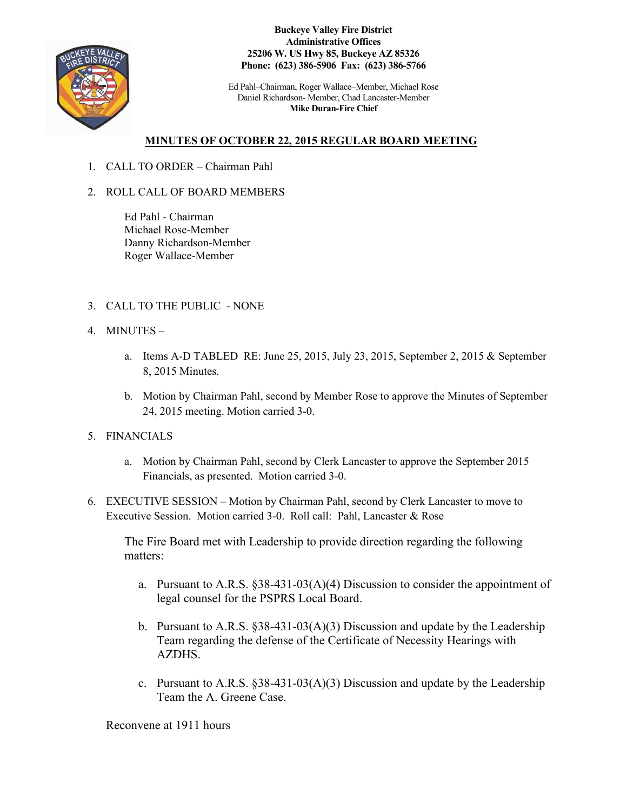

**Buckeye Valley Fire District Administrative Offices 25206 W. US Hwy 85, Buckeye AZ 85326 Phone: (623) 386-5906 Fax: (623) 386-5766**

Ed Pahl–Chairman, Roger Wallace–Member, Michael Rose Daniel Richardson- Member, Chad Lancaster-Member **Mike Duran-Fire Chief**

## **MINUTES OF OCTOBER 22, 2015 REGULAR BOARD MEETING**

- 1. CALL TO ORDER Chairman Pahl
- 2. ROLL CALL OF BOARD MEMBERS

Ed Pahl - Chairman Michael Rose-Member Danny Richardson-Member Roger Wallace-Member

- 3. CALL TO THE PUBLIC NONE
- 4. MINUTES
	- a. Items A-D TABLED RE: June 25, 2015, July 23, 2015, September 2, 2015 & September 8, 2015 Minutes.
	- b. Motion by Chairman Pahl, second by Member Rose to approve the Minutes of September 24, 2015 meeting. Motion carried 3-0.
- 5. FINANCIALS
	- a. Motion by Chairman Pahl, second by Clerk Lancaster to approve the September 2015 Financials, as presented. Motion carried 3-0.
- 6. EXECUTIVE SESSION Motion by Chairman Pahl, second by Clerk Lancaster to move to Executive Session. Motion carried 3-0. Roll call: Pahl, Lancaster & Rose

The Fire Board met with Leadership to provide direction regarding the following matters:

- a. Pursuant to A.R.S. §38-431-03(A)(4) Discussion to consider the appointment of legal counsel for the PSPRS Local Board.
- b. Pursuant to A.R.S. §38-431-03(A)(3) Discussion and update by the Leadership Team regarding the defense of the Certificate of Necessity Hearings with AZDHS.
- c. Pursuant to A.R.S.  $\S 38-431-03(A)(3)$  Discussion and update by the Leadership Team the A. Greene Case.

Reconvene at 1911 hours